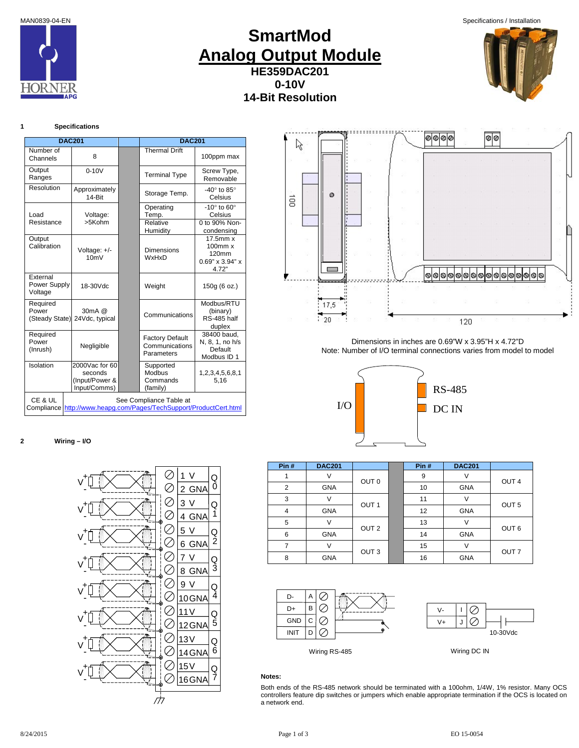MAN0839-04-EN Specifications / Installation



# **SmartMod Analog Output Module HE359DAC201 0-10V 14-Bit Resolution**



# **1 Specifications**

| <b>DAC201</b>                       |                                                             | <b>DAC201</b>                                                                                 |                                                                          |
|-------------------------------------|-------------------------------------------------------------|-----------------------------------------------------------------------------------------------|--------------------------------------------------------------------------|
| Number of<br>Channels               | 8                                                           | Thermal Drift                                                                                 | 100ppm max                                                               |
| Output<br>Ranges                    | $0 - 10V$                                                   | <b>Terminal Type</b>                                                                          | Screw Type,<br>Removable                                                 |
| Resolution                          | Approximately<br>$14 - $ $Rit$                              | Storage Temp.                                                                                 | -40 $\degree$ to 85 $\degree$<br>Celsius                                 |
| Load                                | Voltage:                                                    | Operating<br>Temp.                                                                            | -10 $^{\circ}$ to 60 $^{\circ}$<br>Celsius                               |
| Resistance                          | >5Kohm                                                      | Relative<br>Humidity                                                                          | 0 to 90% Non-<br>condensing                                              |
| Output<br>Calibration               | Voltage: +/-<br>10mV                                        | <b>Dimensions</b><br><b>WxHxD</b>                                                             | $17.5$ mm $x$<br>$100$ mm $x$<br>120mm<br>$0.69$ " x $3.94$ " x<br>4.72" |
| External<br>Power Supply<br>Voltage | 18-30Vdc                                                    | Weight                                                                                        | 150g (6 oz.)                                                             |
| Required<br>Power<br>(Steady State) | 30mA @<br>24Vdc, typical                                    | Communications                                                                                | Modbus/RTU<br>(binary)<br><b>RS-485 half</b><br>duplex                   |
| Required<br>Power<br>(Inrush)       | Negligible                                                  | <b>Factory Default</b><br>Communications<br>Parameters                                        | 38400 baud.<br>N, 8, 1, no h/s<br>Default<br>Modbus ID 1                 |
| Isolation                           | 2000Vac for 60<br>seconds<br>(Input/Power &<br>Input/Comms) | Supported<br>Modbus<br>Commands<br>(family)                                                   | 1,2,3,4,5,6,8,1<br>5,16                                                  |
| CE & UL                             |                                                             | See Compliance Table at<br>Compliance http://www.heapg.com/Pages/TechSupport/ProductCert.html |                                                                          |

### **2 Wiring – I/O**

Ø **+** 1 V Q V 0  $\oslash$ **-** <u>2 GNA</u> Ø Q 3 V **+ -** V  $\oslash$ 1 4 GNA Ø Q **+** 5 V V 2 Ø. **-** 6 GNA Ø 7 V Q **+** V Ø 3 **-** 8 GNA Ø 9 V Q **+** V Ø 4 **-** 10 GNA Ø <u>11 V</u> Q **+** V  $\oslash$ 5 **-** 12 GNA Ø **+**13 V Q V Ø, 6 **-** 14 GNA  $\oslash$ **+** 15 V Q **-** V 7 Ø 16 GNA 777



Dimensions in inches are 0.69"W x 3.95"H x 4.72"D Note: Number of I/O terminal connections varies from model to model



| Pin#           | <b>DAC201</b> |                  | Pin# | <b>DAC201</b> |                  |
|----------------|---------------|------------------|------|---------------|------------------|
|                |               | OUT <sub>0</sub> | 9    |               | OUT <sub>4</sub> |
| $\overline{2}$ | <b>GNA</b>    |                  | 10   | GNA           |                  |
| 3              |               | OUT <sub>1</sub> | 11   | V             | OUT <sub>5</sub> |
| 4              | <b>GNA</b>    |                  | 12   | <b>GNA</b>    |                  |
| 5              |               | OUT <sub>2</sub> | 13   | V             | OUT <sub>6</sub> |
| 6              | <b>GNA</b>    |                  | 14   | GNA           |                  |
|                |               | OUT <sub>3</sub> | 15   |               | OUT <sub>7</sub> |
| 8              | <b>GNA</b>    |                  | 16   | GNA           |                  |





Wiring RS-485 Wiring DC IN

# **Notes:**

Both ends of the RS-485 network should be terminated with a 100ohm, 1/4W, 1% resistor. Many OCS controllers feature dip switches or jumpers which enable appropriate termination if the OCS is located on a network end.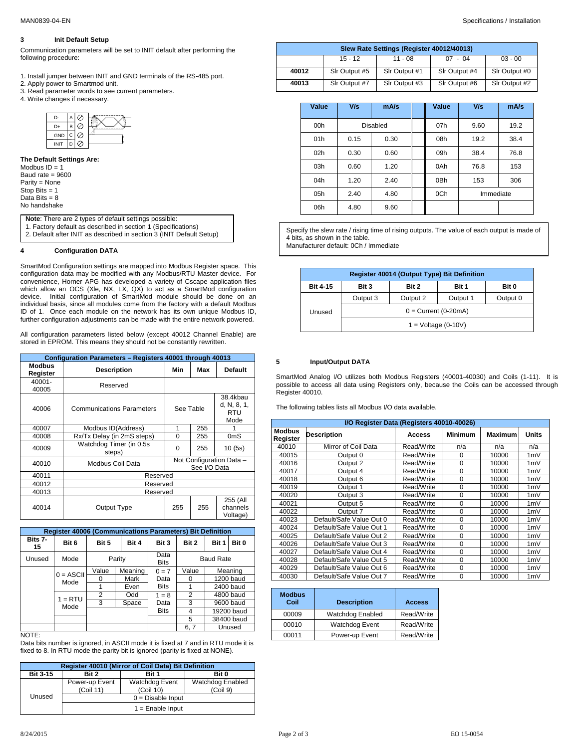# **3 Init Default Setup**

Communication parameters will be set to INIT default after performing the following procedure:

- 1. Install jumper between INIT and GND terminals of the RS-485 port.
- 2. Apply power to Smartmod unit.
- 3. Read parameter words to see current parameters.
- 4. Write changes if necessary.



**The Default Settings Are:** Modbus  $ID = 1$ Baud rate = 9600 Parity = None

Stop Bits = 1 Data Bits  $= 8$ No handshake

> **Note**: There are 2 types of default settings possible: 1. Factory default as described in section 1 (Specifications)

# **4 Configuration DATA**

SmartMod Configuration settings are mapped into Modbus Register space. This configuration data may be modified with any Modbus/RTU Master device. For convenience, Horner APG has developed a variety of Cscape application files which allow an OCS (Xle, NX, LX, QX) to act as a SmartMod configuration device. Initial configuration of SmartMod module should be done on an individual basis, since all modules come from the factory with a default Modbus ID of 1. Once each module on the network has its own unique Modbus ID, further configuration adjustments can be made with the entire network powered.

All configuration parameters listed below (except 40012 Channel Enable) are stored in EPROM. This means they should not be constantly rewritten.

|                           | Configuration Parameters - Registers 40001 through 40013 |           |              |                                               |  |  |
|---------------------------|----------------------------------------------------------|-----------|--------------|-----------------------------------------------|--|--|
| <b>Modbus</b><br>Register | <b>Description</b>                                       | Min       | Max          | <b>Default</b>                                |  |  |
| 40001-<br>40005           | Reserved                                                 |           |              |                                               |  |  |
| 40006                     | <b>Communications Parameters</b>                         | See Table |              | 38.4kbau<br>d, N, 8, 1,<br><b>RTU</b><br>Mode |  |  |
| 40007                     | Modbus ID(Address)                                       | 1         | 255          |                                               |  |  |
| 40008                     | Rx/Tx Delay (in 2mS steps)                               | $\Omega$  | 255          | 0 <sub>m</sub> S                              |  |  |
| 40009                     | Watchdog Timer (in 0.5s<br>steps)                        | $\Omega$  | 255          | 10(5s)                                        |  |  |
| 40010                     | Modbus Coil Data                                         |           | See I/O Data | Not Configuration Data -                      |  |  |
| 40011                     | Reserved                                                 |           |              |                                               |  |  |
| 40012                     | Reserved                                                 |           |              |                                               |  |  |
| 40013                     | Reserved                                                 |           |              |                                               |  |  |
| 40014                     | Output Type                                              | 255       | 255          | 255 (All<br>channels<br>Voltage)              |  |  |

|               | <b>Register 40006 (Communications Parameters) Bit Definition</b> |                           |                     |             |                  |                     |            |                  |  |
|---------------|------------------------------------------------------------------|---------------------------|---------------------|-------------|------------------|---------------------|------------|------------------|--|
| Bits 7-<br>15 | Bit 6                                                            | Bit 5                     | Bit 4               | Bit 3       | Bit 2            | Bit 1               | Bit 0      |                  |  |
| Unused        | Mode                                                             | Parity                    |                     |             |                  | Data<br><b>Bits</b> |            | <b>Baud Rate</b> |  |
|               | $0 = ASCII$                                                      | Value                     | Meaning             | $0 = 7$     | Value            |                     | Meaning    |                  |  |
|               |                                                                  | Mark<br>Data<br>0<br>Mode | O                   |             | <b>1200 baud</b> |                     |            |                  |  |
|               |                                                                  |                           | <b>Bits</b><br>Even |             |                  |                     | 2400 baud  |                  |  |
|               | $1 = RTU$                                                        | $\overline{2}$            | Odd                 | $1 = 8$     | 2                |                     | 4800 baud  |                  |  |
|               | Mode                                                             | 3                         | Space               | Data        | 3                |                     | 9600 baud  |                  |  |
|               |                                                                  |                           |                     | <b>Bits</b> | 4                |                     | 19200 baud |                  |  |
|               |                                                                  |                           |                     |             | 5                |                     | 38400 baud |                  |  |
|               |                                                                  |                           |                     |             | 6, 7             |                     | Unused     |                  |  |
| NOTE:         |                                                                  |                           |                     |             |                  |                     |            |                  |  |

Data bits number is ignored, in ASCII mode it is fixed at 7 and in RTU mode it is fixed to 8. In RTU mode the parity bit is ignored (parity is fixed at NONE).

| Register 40010 (Mirror of Coil Data) Bit Definition |                             |                             |                             |  |  |  |
|-----------------------------------------------------|-----------------------------|-----------------------------|-----------------------------|--|--|--|
| <b>Bit 3-15</b>                                     | Bit 2                       | Bit 1                       | Bit 0                       |  |  |  |
|                                                     | Power-up Event<br>(Coil 11) | Watchdog Event<br>(Coil 10) | Watchdog Enabled<br>(Coi 9) |  |  |  |
| Unused                                              |                             | $0 = Disable$ Input         |                             |  |  |  |
|                                                     |                             | $1 =$ Enable Input          |                             |  |  |  |

|       |               | Slew Rate Settings (Register 40012/40013) |               |               |
|-------|---------------|-------------------------------------------|---------------|---------------|
|       | $15 - 12$     | $11 - 08$                                 | $07 - 04$     | $03 - 00$     |
| 40012 | SIr Output #5 | SIr Output #1                             | SIr Output #4 | Sir Output #0 |
| 40013 | SIr Output #7 | SIr Output #3                             | SIr Output #6 | SIr Output #2 |

| Value           | V/s  | mA/s     | Value           | V/s       | mA/s |
|-----------------|------|----------|-----------------|-----------|------|
| 00h             |      | Disabled | 07h             | 9.60      | 19.2 |
| 01h             | 0.15 | 0.30     | 08h             | 19.2      | 38.4 |
| 02 <sub>h</sub> | 0.30 | 0.60     | 09h             | 38.4      | 76.8 |
| 03h             | 0.60 | 1.20     | 0Ah             | 76.8      | 153  |
| 04h             | 1.20 | 2.40     | 0 <sub>Bh</sub> | 153       | 306  |
| 05h             | 2.40 | 4.80     | 0Ch             | Immediate |      |
| 06h             | 4.80 | 9.60     |                 |           |      |

1. Pactory default as described in section 1 (Specifications) Specify the slew rate / rising time of rising outputs. The value of each output is made of 2. Default after INIT as described in section 3 (INIT Default Setup) 4 bits, as shown in the table.

Manufacturer default: 0Ch / Immediate

| Register 40014 (Output Type) Bit Definition |                        |          |          |          |  |
|---------------------------------------------|------------------------|----------|----------|----------|--|
| <b>Bit 4-15</b>                             | Bit 3                  | Bit 2    | Bit 1    | Bit 0    |  |
|                                             | Output 3               | Output 2 | Output 1 | Output 0 |  |
| Unused                                      | $0 =$ Current (0-20mA) |          |          |          |  |
|                                             | $1 =$ Voltage (0-10V)  |          |          |          |  |

## **5 Input/Output DATA**

SmartMod Analog I/O utilizes both Modbus Registers (40001-40030) and Coils (1-11). It is possible to access all data using Registers only, because the Coils can be accessed through Register 40010.

The following tables lists all Modbus I/O data available.

|                           | I/O Register Data (Registers 40010-40026) |            |                |                |       |
|---------------------------|-------------------------------------------|------------|----------------|----------------|-------|
| <b>Modbus</b><br>Register | <b>Description</b>                        | Access     | <b>Minimum</b> | <b>Maximum</b> | Units |
| 40010                     | Mirror of Coil Data                       | Read/Write | n/a            | n/a            | n/a   |
| 40015                     | Output 0                                  | Read/Write | $\Omega$       | 10000          | 1mV   |
| 40016                     | Output 2                                  | Read/Write | $\Omega$       | 10000          | 1mV   |
| 40017                     | Output 4                                  | Read/Write | $\Omega$       | 10000          | 1mV   |
| 40018                     | Output 6                                  | Read/Write | $\Omega$       | 10000          | 1mV   |
| 40019                     | Output 1                                  | Read/Write | $\Omega$       | 10000          | 1mV   |
| 40020                     | Output 3                                  | Read/Write | $\Omega$       | 10000          | 1mV   |
| 40021                     | Output 5                                  | Read/Write | $\Omega$       | 10000          | 1mV   |
| 40022                     | Output 7                                  | Read/Write | $\Omega$       | 10000          | 1mV   |
| 40023                     | Default/Safe Value Out 0                  | Read/Write | $\Omega$       | 10000          | 1mV   |
| 40024                     | Default/Safe Value Out 1                  | Read/Write | $\Omega$       | 10000          | 1mV   |
| 40025                     | Default/Safe Value Out 2                  | Read/Write | $\Omega$       | 10000          | 1mV   |
| 40026                     | Default/Safe Value Out 3                  | Read/Write | $\Omega$       | 10000          | 1mV   |
| 40027                     | Default/Safe Value Out 4                  | Read/Write | $\Omega$       | 10000          | 1mV   |
| 40028                     | Default/Safe Value Out 5                  | Read/Write | $\Omega$       | 10000          | 1mV   |
| 40029                     | Default/Safe Value Out 6                  | Read/Write | $\Omega$       | 10000          | 1mV   |
| 40030                     | Default/Safe Value Out 7                  | Read/Write | $\Omega$       | 10000          | 1mV   |

| <b>Modbus</b><br>Coil | <b>Description</b> | <b>Access</b> |
|-----------------------|--------------------|---------------|
| 00009                 | Watchdog Enabled   | Read/Write    |
| 00010                 | Watchdog Event     | Read/Write    |
| 00011                 | Power-up Event     | Read/Write    |